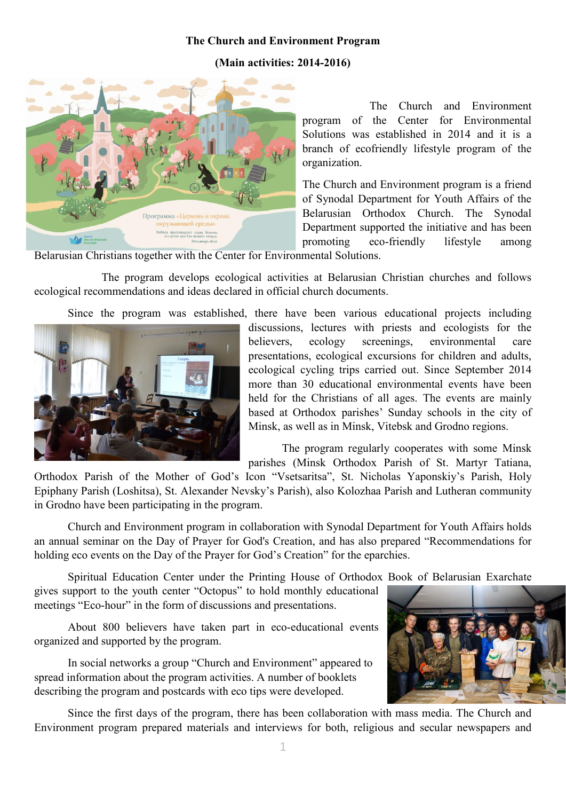## The Church and Environment Program

## (Main activities: 2014-2016)



The Church and Environment program of the Center for Environmental Solutions was established in 2014 and it is a branch of ecofriendly lifestyle program of the organization.

The Church and Environment program is a friend of Synodal Department for Youth Affairs of the Belarusian Orthodox Church. The Synodal Department supported the initiative and has been promoting eco-friendly lifestyle among

Belarusian Christians together with the Center for Environmental Solutions.

The program develops ecological activities at Belarusian Christian churches and follows ecological recommendations and ideas declared in [official church documents.](http://tvorenie.by/wp-content/uploads/2015/03/The-position-of-the-Russian-Orthodox-Church-on-the-current-problems-of-ecology.doc) 

Since the program was established, there have been various educational projects including



discussions, lectures with priests and ecologists for the believers, ecology screenings, environmental care presentations, ecological excursions for children and adults, ecological cycling trips carried out. Since September 2014 more than 30 educational environmental events have been held for the Christians of all ages. The events are mainly based at Orthodox parishes' Sunday schools in the city of Minsk, as well as in Minsk, Vitebsk and Grodno regions.

The program regularly cooperates with some Minsk parishes (Minsk Orthodox Parish of St. Martyr Tatiana,

Orthodox Parish of the Mother of God's Icon "Vsetsaritsa", St. Nicholas Yaponskiy's Parish, Holy Epiphany Parish (Loshitsa), St. Alexander Nevsky's Parish), also Kolozhaa Parish and Lutheran community in Grodno have been participating in the program.

Church and Environment program in collaboration with Synodal Department for Youth Affairs holds an annual seminar on the Day of Prayer for God's Creation, and has also prepared "Recommendations for holding eco events on the Day of the Prayer for God's Creation" for the eparchies.

Spiritual Education Center under the Printing House of Orthodox Book of Belarusian Exarchate

gives support to the youth center "Octopus" to hold monthly educational meetings "Eco-hour" in the form of discussions and presentations.

About 800 believers have taken part in eco-educational events organized and supported by the program.

In social networks a group "Church and Environment" appeared to spread information about the program activities. A number of booklets describing the program and postcards with eco tips were developed.



Since the first days of the program, there has been collaboration with mass media. The Church and Environment program prepared materials and interviews for both, religious and secular newspapers and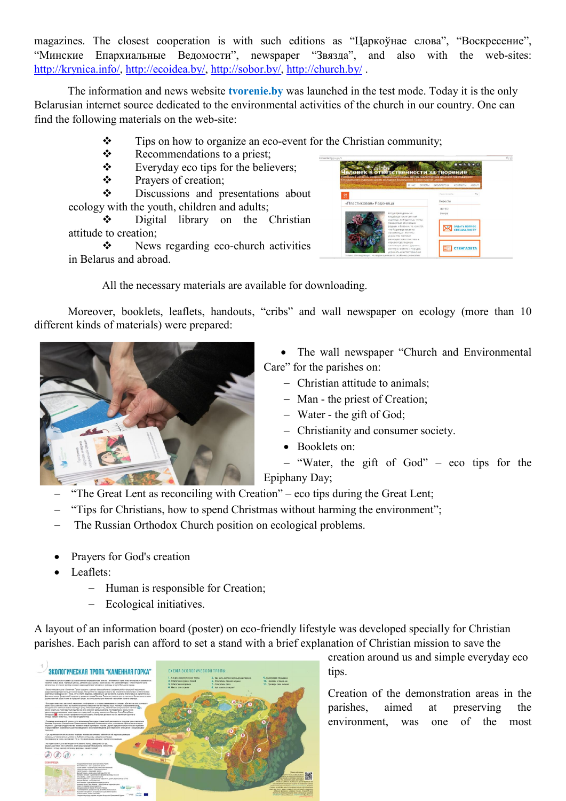magazines. The closest cooperation is with such editions as "Царкоўнае слова", "Воскресение", "Минские Епархиальные Ведомости", newspaper "Звязда", and also with the web-sites: <http://krynica.info/>, <http://ecoidea.by/>, <http://sobor.by/>, <http://church.by/> .

The information and news website tvorenie.by was launched in the test mode. Today it is the only Belarusian internet source dedicated to the environmental activities of the church in our country. One can find the following materials on the web-site:

- $\mathbf{\hat{P}}$  Tips on how to organize an eco-event for the Christian community;
- Recommendations to a priest:
- $\div$  Everyday eco tips for the believers;
- Prayers of creation;

 $\div$  Discussions and presentations about ecology with the youth, children and adults;

 Digital library on the Christian attitude to creation;

 $\div$  News regarding eco-church activities in Belarus and abroad.

| рограмма «церковь и охрана скружающей среды» Центра экологических решений при поддержке<br>Синодального отдела по делам молодежи Белорусской Православной Церкин | O HAC                                                                                                                                                                      | <b>CORETN</b> | <b>BYISOMOTEKA</b>     | <b>KOHTAKTM</b>      | ABOUT |
|------------------------------------------------------------------------------------------------------------------------------------------------------------------|----------------------------------------------------------------------------------------------------------------------------------------------------------------------------|---------------|------------------------|----------------------|-------|
| off the service of the                                                                                                                                           |                                                                                                                                                                            |               | <b>Devocate coliny</b> |                      | Q     |
| «Пластиковая» Радоница                                                                                                                                           |                                                                                                                                                                            |               | Новости                |                      |       |
|                                                                                                                                                                  | Когда приходишь на<br>кладбиция после светлой<br>седмицы, на Радоницы, чтобы<br>помолиться об усопыих.<br>родных и близких то, кажется.                                    |               | центра<br>5 uvoe       | <b>SABATE BORPOC</b> |       |
|                                                                                                                                                                  | что Радоница какая-то<br>ненастояцыя. Молилы<br>украшены тоннами<br>разноцветного пластика, и                                                                              |               |                        | <b>СПЕЦИАЛИСТУ</b>   |       |
|                                                                                                                                                                  | наредка где увидишь<br>настоящие цветы. Держать<br>могилу в чистоте и порядке.<br>украшать её истественно не<br>только для верующих. Но верующие как-то особенно ревностно |               |                        | <b>СТЕНГАЗЕТА</b>    |       |

All the necessary materials are available for downloading.

Moreover, booklets, leaflets, handouts, "cribs" and wall newspaper on ecology (more than 10 different kinds of materials) were prepared:



• The wall newspaper "Church and Environmental Care" for the parishes on:

- Christian attitude to animals;
- Man the priest of Creation;
- Water the gift of God;
- Christianity and consumer society.
- Booklets on:
- "Water, the gift of God" eco tips for the Epiphany Day;
- "The Great Lent as reconciling with Creation" eco tips during the Great Lent;
- "Tips for Christians, how to spend Christmas without harming the environment";
- The Russian Orthodox Church position on ecological problems.
- Prayers for God's creation
- Leaflets:
	- Human is responsible for Creation;
	- Ecological initiatives.

A layout of an information board (poster) on eco-friendly lifestyle was developed specially for Christian parishes. Each parish can afford to set a stand with a brief explanation of Christian mission to save the



creation around us and simple everyday eco tips.

Creation of the demonstration areas in the parishes, aimed at preserving the environment, was one of the most